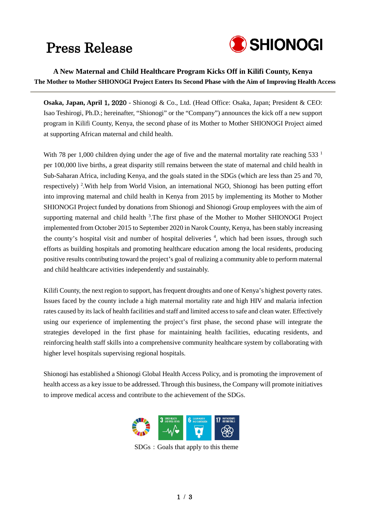### Press Release



**A New Maternal and Child Healthcare Program Kicks Off in Kilifi County, Kenya The Mother to Mother SHIONOGI Project Enters Its Second Phase with the Aim of Improving Health Access**

**Osaka, Japan, April** 1**,** 2020 - Shionogi & Co., Ltd. (Head Office: Osaka, Japan; President & CEO: Isao Teshirogi, Ph.D.; hereinafter, "Shionogi" or the "Company") announces the kick off a new support program in Kilifi County, Kenya, the second phase of its Mother to Mother SHIONOGI Project aimed at supporting African maternal and child health.

With 78 per 1,000 children dying under the age of five and the maternal mortality rate reaching 533<sup>1</sup> per 100,000 live births, a great disparity still remains between the state of maternal and child health in Sub-Saharan Africa, including Kenya, and the goals stated in the SDGs (which are less than 25 and 70, respectively)<sup>2</sup>. With help from World Vision, an international NGO, Shionogi has been putting effort into improving maternal and child health in Kenya from 2015 by implementing its Mother to Mother SHIONOGI Project funded by donations from Shionogi and Shionogi Group employees with the aim of supporting maternal and child health<sup>3</sup>. The first phase of the Mother to Mother SHIONOGI Project implemented from October 2015 to September 2020 in Narok County, Kenya, has been stably increasing the county's hospital visit and number of hospital deliveries <sup>4</sup>, which had been issues, through such efforts as building hospitals and promoting healthcare education among the local residents, producing positive results contributing toward the project's goal of realizing a community able to perform maternal and child healthcare activities independently and sustainably.

Kilifi County, the next region to support, has frequent droughts and one of Kenya's highest poverty rates. Issues faced by the county include a high maternal mortality rate and high HIV and malaria infection rates caused by itslack of health facilities and staff and limited access to safe and clean water. Effectively using our experience of implementing the project's first phase, the second phase will integrate the strategies developed in the first phase for maintaining health facilities, educating residents, and reinforcing health staff skills into a comprehensive community healthcare system by collaborating with higher level hospitals supervising regional hospitals.

Shionogi has established a Shionogi Global Health Access Policy, and is promoting the improvement of health access as a key issue to be addressed. Through this business, the Company will promote initiatives to improve medical access and contribute to the achievement of the SDGs.



SDGs: Goals that apply to this theme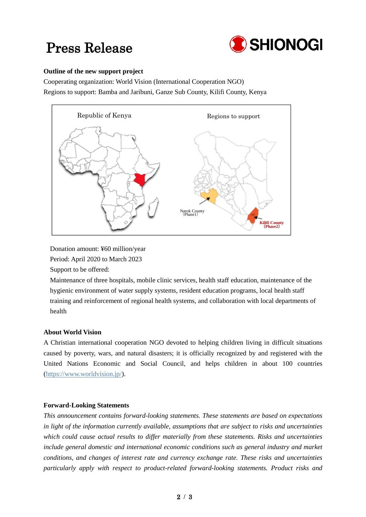## Press Release



#### **Outline of the new support project**

Cooperating organization: World Vision (International Cooperation NGO) Regions to support: Bamba and Jaribuni, Ganze Sub County, Kilifi County, Kenya



Donation amount: ¥60 million/year

Period: April 2020 to March 2023

Support to be offered:

Maintenance of three hospitals, mobile clinic services, health staff education, maintenance of the hygienic environment of water supply systems, resident education programs, local health staff training and reinforcement of regional health systems, and collaboration with local departments of health

#### **About World Vision**

A Christian international cooperation NGO devoted to helping children living in difficult situations caused by poverty, wars, and natural disasters; it is officially recognized by and registered with the United Nations Economic and Social Council, and helps children in about 100 countries [\(https://www.worldvision.jp/\)](https://www.worldvision.jp/).

#### **Forward-Looking Statements**

*This announcement contains forward-looking statements. These statements are based on expectations in light of the information currently available, assumptions that are subject to risks and uncertainties which could cause actual results to differ materially from these statements. Risks and uncertainties include general domestic and international economic conditions such as general industry and market conditions, and changes of interest rate and currency exchange rate. These risks and uncertainties particularly apply with respect to product-related forward-looking statements. Product risks and*